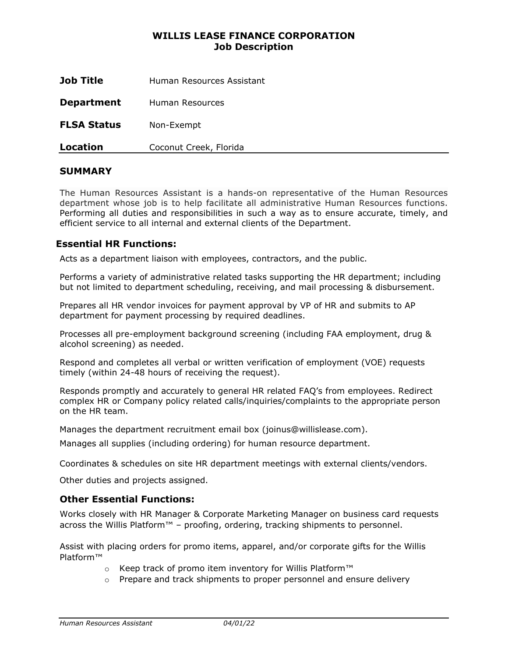### **WILLIS LEASE FINANCE CORPORATION Job Description**

| <b>Job Title</b>   | Human Resources Assistant |
|--------------------|---------------------------|
| <b>Department</b>  | Human Resources           |
| <b>FLSA Status</b> | Non-Exempt                |
| Location           | Coconut Creek, Florida    |
|                    |                           |

# **SUMMARY**

The Human Resources Assistant is a hands-on representative of the Human Resources department whose job is to help facilitate all administrative Human Resources functions. Performing all duties and responsibilities in such a way as to ensure accurate, timely, and efficient service to all internal and external clients of the Department.

# **Essential HR Functions:**

Acts as a department liaison with employees, contractors, and the public.

Performs a variety of administrative related tasks supporting the HR department; including but not limited to department scheduling, receiving, and mail processing & disbursement.

Prepares all HR vendor invoices for payment approval by VP of HR and submits to AP department for payment processing by required deadlines.

Processes all pre-employment background screening (including FAA employment, drug & alcohol screening) as needed.

Respond and completes all verbal or written verification of employment (VOE) requests timely (within 24-48 hours of receiving the request).

Responds promptly and accurately to general HR related FAQ's from employees. Redirect complex HR or Company policy related calls/inquiries/complaints to the appropriate person on the HR team.

Manages the department recruitment email box (joinus@willislease.com).

Manages all supplies (including ordering) for human resource department.

Coordinates & schedules on site HR department meetings with external clients/vendors.

Other duties and projects assigned.

# **Other Essential Functions:**

Works closely with HR Manager & Corporate Marketing Manager on business card requests across the Willis Platform<sup>™</sup> – proofing, ordering, tracking shipments to personnel.

Assist with placing orders for promo items, apparel, and/or corporate gifts for the Willis Platform™

- o Keep track of promo item inventory for Willis Platform™
- o Prepare and track shipments to proper personnel and ensure delivery